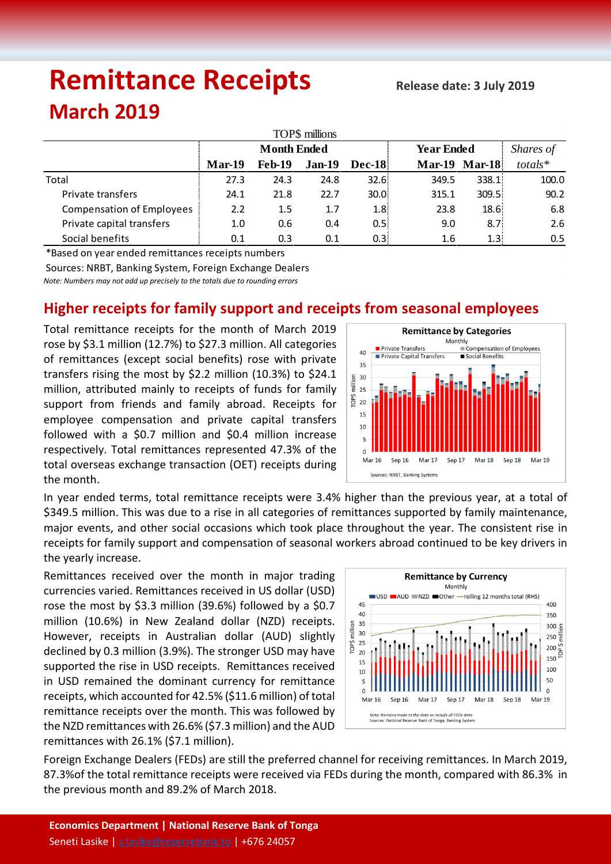# **Remittance Receipts**

## **March 2019**

| TOP\$ millions                   |                    |               |               |                   |                   |                      |         |  |  |  |  |
|----------------------------------|--------------------|---------------|---------------|-------------------|-------------------|----------------------|---------|--|--|--|--|
|                                  | <b>Month Ended</b> |               |               |                   | <b>Year Ended</b> | Shares of            |         |  |  |  |  |
|                                  | $Mar-19$           | <b>Feb-19</b> | <b>Jan-19</b> | <b>Dec-18</b>     |                   | <b>Mar-19 Mar-18</b> | totals* |  |  |  |  |
| Total                            | 27.3               | 24.3          | 24.8          | 32.6:             | 349.5             | 338.1                | 100.0   |  |  |  |  |
| Private transfers                | 24.1               | 21.8          | 22.7          | 30.0 <sup>1</sup> | 315.1             | 309.5                | 90.2    |  |  |  |  |
| <b>Compensation of Employees</b> | 2.2                | 1.5           | 1.7           | 1.8 <sub>i</sub>  | 23.8              | 18.6                 | 6.8     |  |  |  |  |
| Private capital transfers        | 1.0                | 0.6           | 0.4           | 0.5:              | 9.0               | 8.71                 | 2.6     |  |  |  |  |
| Social benefits                  | 0.1                | 0.3           | 0.1           | 0.3 <sub>i</sub>  | 1.6               | 1.3!                 | 0.5     |  |  |  |  |

\*Based on year ended remittances receipts numbers

Sources: NRBT, Banking System, Foreign Exchange Dealers

*Note: Numbers may not add up precisely to the totals due to rounding errors*

### **Higher receipts for family support and receipts from seasonal employees**

Total remittance receipts for the month of March 2019 rose by \$3.1 million (12.7%) to \$27.3 million. All categories of remittances (except social benefits) rose with private transfers rising the most by \$2.2 million (10.3%) to \$24.1 million, attributed mainly to receipts of funds for family support from friends and family abroad. Receipts for employee compensation and private capital transfers followed with a \$0.7 million and \$0.4 million increase respectively. Total remittances represented 47.3% of the total overseas exchange transaction (OET) receipts during the month.



In year ended terms, total remittance receipts were 3.4% higher than the previous year, at a total of \$349.5 million. This was due to a rise in all categories of remittances supported by family maintenance, major events, and other social occasions which took place throughout the year. The consistent rise in receipts for family support and compensation of seasonal workers abroad continued to be key drivers in the yearly increase.

Remittances received over the month in major trading currencies varied. Remittances received in US dollar (USD) rose the most by \$3.3 million (39.6%) followed by a \$0.7 million (10.6%) in New Zealand dollar (NZD) receipts. However, receipts in Australian dollar (AUD) slightly declined by 0.3 million (3.9%). The stronger USD may have supported the rise in USD receipts. Remittances received in USD remained the dominant currency for remittance receipts, which accounted for 42.5% (\$11.6 million) of total remittance receipts over the month. This was followed by the NZD remittances with 26.6% (\$7.3 million) and the AUD remittances with 26.1% (\$7.1 million).



Foreign Exchange Dealers (FEDs) are still the preferred channel for receiving remittances. In March 2019, 87.3%of the total remittance receipts were received via FEDs during the month, compared with 86.3% in the previous month and 89.2% of March 2018.